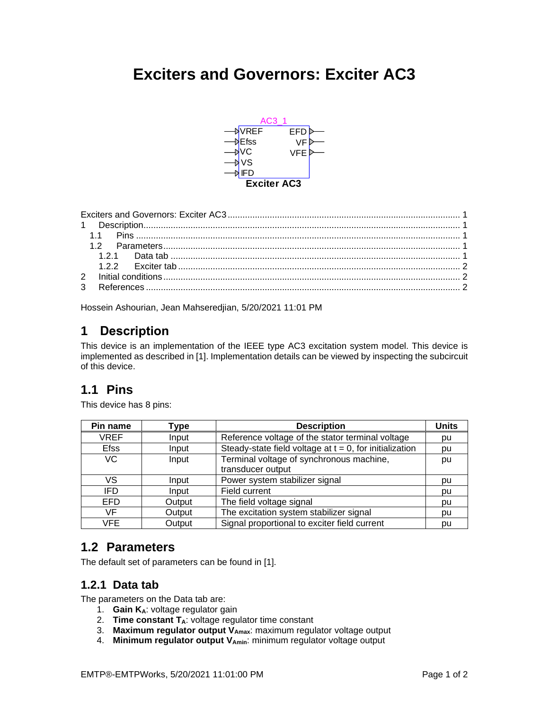# <span id="page-0-0"></span>**Exciters and Governors: Exciter AC3**



<span id="page-0-1"></span>Hossein Ashourian, Jean Mahseredjian, 5/20/2021 11:01 PM

# **1 Description**

This device is an implementation of the IEEE type AC3 excitation system model. This device is implemented as described in [\[1\].](#page-1-3) Implementation details can be viewed by inspecting the subcircuit of this device.

# <span id="page-0-2"></span>**1.1 Pins**

This device has 8 pins:

| Pin name    | Type   | <b>Description</b>                                         | <b>Units</b> |
|-------------|--------|------------------------------------------------------------|--------------|
| <b>VREF</b> | Input  | Reference voltage of the stator terminal voltage           | pu           |
| <b>Efss</b> | Input  | Steady-state field voltage at $t = 0$ , for initialization | pu           |
| VC.         | Input  | Terminal voltage of synchronous machine,                   | pu           |
|             |        | transducer output                                          |              |
| VS          | Input  | Power system stabilizer signal                             | bu           |
| IFD         | Input  | Field current                                              | pu           |
| <b>EFD</b>  | Output | The field voltage signal                                   | pu           |
| VF          | Output | The excitation system stabilizer signal                    | pu           |
| <b>VFE</b>  | Output | Signal proportional to exciter field current               | pu           |

## <span id="page-0-3"></span>**1.2 Parameters**

<span id="page-0-4"></span>The default set of parameters can be found in [\[1\].](#page-1-3)

## **1.2.1 Data tab**

The parameters on the Data tab are:

- 1. **Gain KA**: voltage regulator gain
- 2. **Time constant TA**: voltage regulator time constant
- 3. **Maximum regulator output VAmax**: maximum regulator voltage output
- 4. **Minimum regulator output VAmin**: minimum regulator voltage output